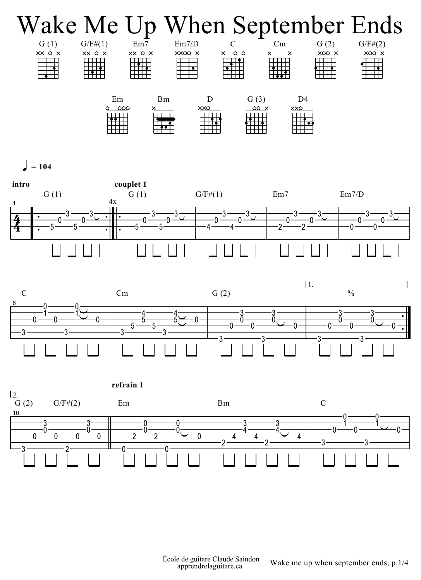

 $= 104$ 





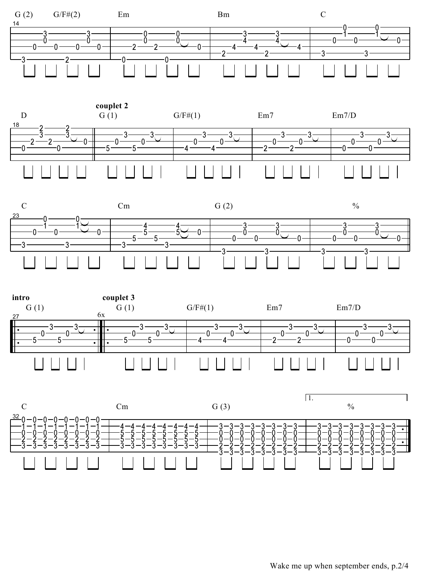









Wake me up when september ends, p.2/4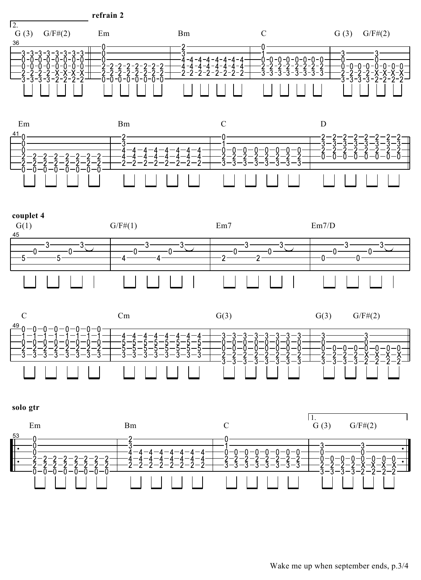refrain 2









solo gtr